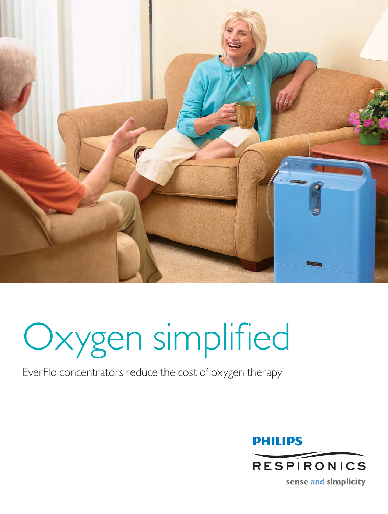

# Oxygen simplified

## EverFlo concentrators reduce the cost of oxygen therapy



sense and simplicity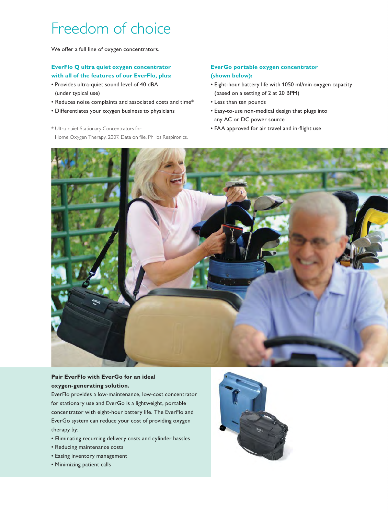# Freedom of choice

We offer a full line of oxygen concentrators.

#### **EverFlo Q ultra quiet oxygen concentrator with all of the features of our EverFlo, plus:**

- Provides ultra-quiet sound level of 40 dBA (under typical use)
- Reduces noise complaints and associated costs and time\*
- Differentiates your oxygen business to physicians
- \* Ultra-quiet Stationary Concentrators for Home Oxygen Therapy, 2007. Data on file. Philips Respironics.

#### **EverGo portable oxygen concentrator (shown below):**

- Eight-hour battery life with 1050 ml/min oxygen capacity (based on a setting of 2 at 20 BPM)
- Less than ten pounds
- Easy-to-use non-medical design that plugs into any AC or DC power source
- FAA approved for air travel and in-flight use



#### **Pair EverFlo with EverGo for an ideal oxygen-generating solution.**

EverFlo provides a low-maintenance, low-cost concentrator for stationary use and EverGo is a lightweight, portable concentrator with eight-hour battery life. The EverFlo and EverGo system can reduce your cost of providing oxygen therapy by:

- Eliminating recurring delivery costs and cylinder hassles
- Reducing maintenance costs
- Easing inventory management
- Minimizing patient calls

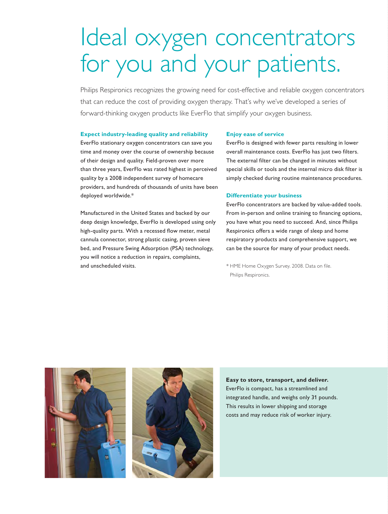# Ideal oxygen concentrators for you and your patients.

Philips Respironics recognizes the growing need for cost-effective and reliable oxygen concentrators that can reduce the cost of providing oxygen therapy. That's why we've developed a series of forward-thinking oxygen products like EverFlo that simplify your oxygen business.

#### **Expect industry-leading quality and reliability**

EverFlo stationary oxygen concentrators can save you time and money over the course of ownership because of their design and quality. Field-proven over more than three years, EverFlo was rated highest in perceived quality by a 2008 independent survey of homecare providers, and hundreds of thousands of units have been deployed worldwide.\*

Manufactured in the United States and backed by our deep design knowledge, EverFlo is developed using only high-quality parts. With a recessed flow meter, metal cannula connector, strong plastic casing, proven sieve bed, and Pressure Swing Adsorption (PSA) technology, you will notice a reduction in repairs, complaints, and unscheduled visits.

#### **Enjoy ease of service**

EverFlo is designed with fewer parts resulting in lower overall maintenance costs. EverFlo has just two filters. The external filter can be changed in minutes without special skills or tools and the internal micro disk filter is simply checked during routine maintenance procedures.

#### **Differentiate your business**

EverFlo concentrators are backed by value-added tools. From in-person and online training to financing options, you have what you need to succeed. And, since Philips Respironics offers a wide range of sleep and home respiratory products and comprehensive support, we can be the source for many of your product needs.

\* HME Home Oxygen Survey. 2008. Data on file. Philips Respironics.





**Easy to store, transport, and deliver.** EverFlo is compact, has a streamlined and integrated handle, and weighs only 31 pounds. This results in lower shipping and storage costs and may reduce risk of worker injury.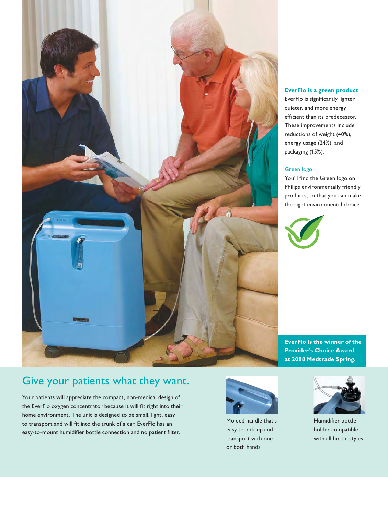

#### **EverFlo is a green product**

EverFlo is significantly lighter, quieter, and more energy efficient than its predecessor. These improvements include reductions of weight (40%), energy usage (24%), and packaging (15%).

#### Green logo

You'll find the Green logo on Philips environmentally friendly products, so that you can make the right environmental choice.



**EverFlo is the winner of the Provider's Choice Award at 2008 Medtrade Spring.** 

### Give your patients what they want.

Your patients will appreciate the compact, non-medical design of the EverFlo oxygen concentrator because it will fit right into their home environment. The unit is designed to be small, light, easy to transport and will fit into the trunk of a car. EverFlo has an easy-to-mount humidifier bottle connection and no patient filter.



Molded handle that's easy to pick up and transport with one or both hands



Humidifier bottle holder compatible with all bottle styles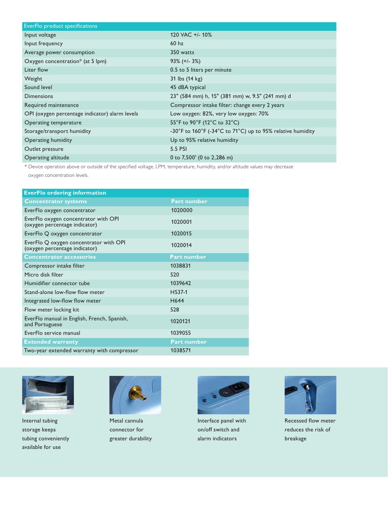| EverFlo product specifications                 |                                                            |
|------------------------------------------------|------------------------------------------------------------|
| Input voltage                                  | 120 VAC +/- 10%                                            |
| Input frequency                                | 60 <sub>hz</sub>                                           |
| Average power consumption                      | 350 watts                                                  |
| Oxygen concentration* (at 5 lpm)               | $93\%$ (+/- 3%)                                            |
| Liter flow                                     | 0.5 to 5 liters per minute                                 |
| Weight                                         | 31 lbs (14 kg)                                             |
| Sound level                                    | 45 dBA typical                                             |
| <b>Dimensions</b>                              | 23" (584 mm) h, 15" (381 mm) w, 9.5" (241 mm) d            |
| Required maintenance                           | Compressor intake filter: change every 2 years             |
| OPI (oxygen percentage indicator) alarm levels | Low oxygen: 82%, very low oxygen: 70%                      |
| Operating temperature                          | 55°F to 90°F (12°C to 32°C)                                |
| Storage/transport humidity                     | -30°F to 160°F (-34°C to 71°C) up to 95% relative humidity |
| Operating humidity                             | Up to 95% relative humidity                                |
| Outlet pressure                                | 5.5 PSI                                                    |
| Operating altitude                             | 0 to $7,500'$ (0 to $2,286$ m)                             |

\* Device operation above or outside of the specified voltage, LPM, temperature, humidity, and/or altitude values may decrease

oxygen concentration levels.

| <b>EverFlo ordering information</b>                                     |                    |
|-------------------------------------------------------------------------|--------------------|
| <b>Concentrator systems</b>                                             | <b>Part number</b> |
| EverFlo oxygen concentrator                                             | 1020000            |
| EverFlo oxygen concentrator with OPI<br>(oxygen percentage indicator)   | 1020001            |
| EverFlo Q oxygen concentrator                                           | 1020015            |
| EverFlo Q oxygen concentrator with OPI<br>(oxygen percentage indicator) | 1020014            |
| <b>Concentrator accessories</b>                                         | <b>Part number</b> |
| Compressor intake filter                                                | 1038831            |
| Micro disk filter                                                       | 520                |
| Humidifier connector tube                                               | 1039642            |
| Stand-alone low-flow flow meter                                         | H537-1             |
| Integrated low-flow flow meter                                          | H644               |
| Flow meter locking kit                                                  | 528                |
| EverFlo manual in English, French, Spanish,<br>and Portuguese           | 1020121            |
| EverFlo service manual                                                  | 1039055            |
| <b>Extended warranty</b>                                                | <b>Part number</b> |
| Two-year extended warranty with compressor                              | 1038571            |
|                                                                         |                    |



Internal tubing storage keeps tubing conveniently available for use



Metal cannula connector for greater durability



Interface panel with on/off switch and alarm indicators



Recessed flow meter reduces the risk of breakage